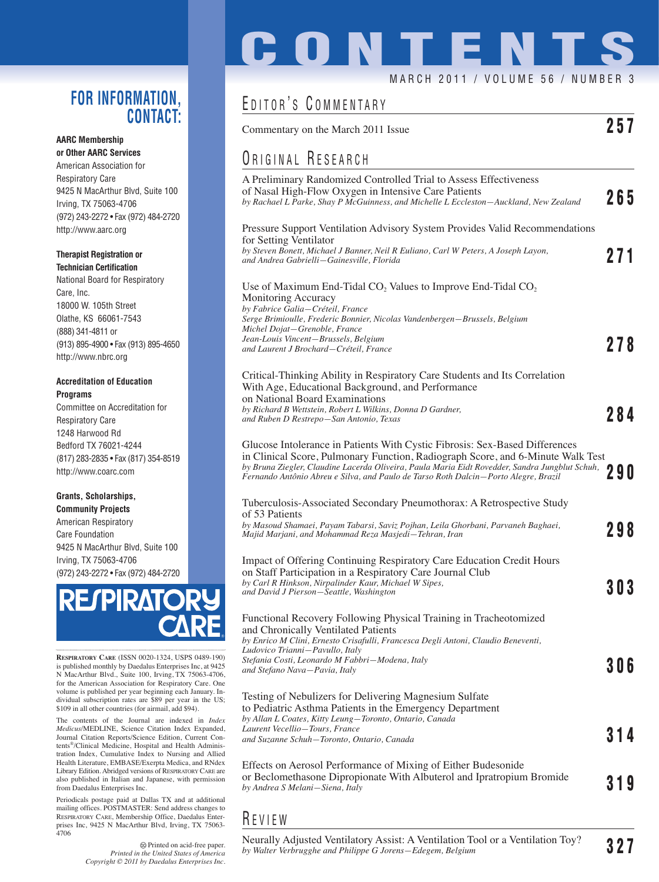### **FOR INFORMATION, CONTACT:**

### **AARC Membership or Other AARC Services**

American Association for Respiratory Care 9425 N MacArthur Blvd, Suite 100 Irving, TX 75063-4706 (972) 243-2272 • Fax (972) 484-2720 http://www.aarc.org

### **Therapist Registration or Technician Certification**

National Board for Respiratory Care, Inc. 18000 W. 105th Street Olathe, KS 66061-7543 (888) 341-4811 or (913) 895-4900 • Fax (913) 895-4650 http://www.nbrc.org

### **Accreditation of Education Programs**

Committee on Accreditation for Respiratory Care 1248 Harwood Rd Bedford TX 76021-4244 (817) 283-2835 • Fax (817) 354-8519 http://www.coarc.com

### **Grants, Scholarships, Community Projects**

American Respiratory Care Foundation 9425 N MacArthur Blvd, Suite 100 Irving, TX 75063-4706 (972) 243-2272 • Fax (972) 484-2720



**RESPIRATORY CARE** (ISSN 0020-1324, USPS 0489-190) is published monthly by Daedalus Enterprises Inc, at 9425 N MacArthur Blvd., Suite 100, Irving, TX 75063-4706, for the American Association for Respiratory Care. One volume is published per year beginning each January. Individual subscription rates are \$89 per year in the US; \$109 in all other countries (for airmail, add \$94).

The contents of the Journal are indexed in *Index Medicus*/MEDLINE, Science Citation Index Expanded, Journal Citation Reports/Science Edition, Current Contents®/Clinical Medicine, Hospital and Health Administration Index, Cumulative Index to Nursing and Allied Health Literature, EMBASE/Exerpta Medica, and RNdex Library Edition. Abridged versions of RESPIRATORY CARE are also published in Italian and Japanese, with permission from Daedalus Enterprises Inc.

Periodicals postage paid at Dallas TX and at additional mailing offices. POSTMASTER: Send address changes to RESPIRATORY CARE, Membership Office, Daedalus Enterprises Inc, 9425 N MacArthur Blvd, Irving, TX 75063- 4706

> Printed on acid-free paper. *Printed in the United States of America Copyright © 2011 by Daedalus Enterprises Inc.*

# **CONTENTS**

### MARCH 2011 / VOLUME 56 / NUMBER 3

# EDITOR'S COMMENTARY

| Commentary on the March 2011 Issue | Z 5 T |  |  |
|------------------------------------|-------|--|--|
|------------------------------------|-------|--|--|

# ORIGINAL RESEARCH

| A Preliminary Randomized Controlled Trial to Assess Effectiveness<br>of Nasal High-Flow Oxygen in Intensive Care Patients<br>by Rachael L Parke, Shay P McGuinness, and Michelle L Eccleston-Auckland, New Zealand                                                                                                                                      | 265 |
|---------------------------------------------------------------------------------------------------------------------------------------------------------------------------------------------------------------------------------------------------------------------------------------------------------------------------------------------------------|-----|
| Pressure Support Ventilation Advisory System Provides Valid Recommendations<br>for Setting Ventilator<br>by Steven Bonett, Michael J Banner, Neil R Euliano, Carl W Peters, A Joseph Layon,<br>and Andrea Gabrielli—Gainesville, Florida                                                                                                                | 271 |
| Use of Maximum End-Tidal $CO2$ Values to Improve End-Tidal $CO2$<br>Monitoring Accuracy<br>by Fabrice Galia-Créteil, France<br>Serge Brimioulle, Frederic Bonnier, Nicolas Vandenbergen-Brussels, Belgium                                                                                                                                               |     |
| Michel Dojat-Grenoble, France<br>Jean-Louis Vincent–Brussels, Belgium<br>and Laurent J Brochard–Créteil, France                                                                                                                                                                                                                                         | 278 |
| Critical-Thinking Ability in Respiratory Care Students and Its Correlation<br>With Age, Educational Background, and Performance<br>on National Board Examinations                                                                                                                                                                                       |     |
| by Richard B Wettstein, Robert L Wilkins, Donna D Gardner,<br>and Ruben D Restrepo—San Antonio, Texas                                                                                                                                                                                                                                                   | 284 |
| Glucose Intolerance in Patients With Cystic Fibrosis: Sex-Based Differences<br>in Clinical Score, Pulmonary Function, Radiograph Score, and 6-Minute Walk Test<br>by Bruna Ziegler, Claudine Lacerda Oliveira, Paula Maria Eidt Rovedder, Sandra Jungblut Schuh,<br>Fernando Antônio Abreu e Silva, and Paulo de Tarso Roth Dalcin—Porto Alegre, Brazil | 290 |
| Tuberculosis-Associated Secondary Pneumothorax: A Retrospective Study<br>of 53 Patients<br>by Masoud Shamaei, Payam Tabarsi, Saviz Pojhan, Leila Ghorbani, Parvaneh Baghaei,<br>Majid Marjani, and Mohammad Reza Masjedi–Tehran, Iran                                                                                                                   | 298 |
| Impact of Offering Continuing Respiratory Care Education Credit Hours<br>on Staff Participation in a Respiratory Care Journal Club<br>by Carl R Hinkson, Nirpalinder Kaur, Michael W Sipes,<br>and David J Pierson-Seattle, Washington                                                                                                                  | 303 |
| Functional Recovery Following Physical Training in Tracheotomized<br>and Chronically Ventilated Patients<br>by Enrico M Clini, Ernesto Crisafulli, Francesca Degli Antoni, Claudio Beneventi,<br>Ludovico Trianni-Pavullo, Italy<br>Stefania Costi, Leonardo M Fabbri–Modena, Italy                                                                     | 306 |
| and Stefano Nava-Pavia, Italy<br>Testing of Nebulizers for Delivering Magnesium Sulfate<br>to Pediatric Asthma Patients in the Emergency Department<br>by Allan L Coates, Kitty Leung—Toronto, Ontario, Canada<br>Laurent Vecellio-Tours, France                                                                                                        |     |
| and Suzanne Schuh–Toronto, Ontario, Canada                                                                                                                                                                                                                                                                                                              | 314 |
| Effects on Aerosol Performance of Mixing of Either Budesonide<br>or Beclomethasone Dipropionate With Albuterol and Ipratropium Bromide<br>by Andrea S Melani–Siena, Italy                                                                                                                                                                               | 319 |
| REVIEW                                                                                                                                                                                                                                                                                                                                                  |     |

Neurally Adjusted Ventilatory Assist: A Ventilation Tool or a Ventilation Toy? *by Walter Verbrugghe and Philippe G Jorens—Edegem, Belgium* **327**